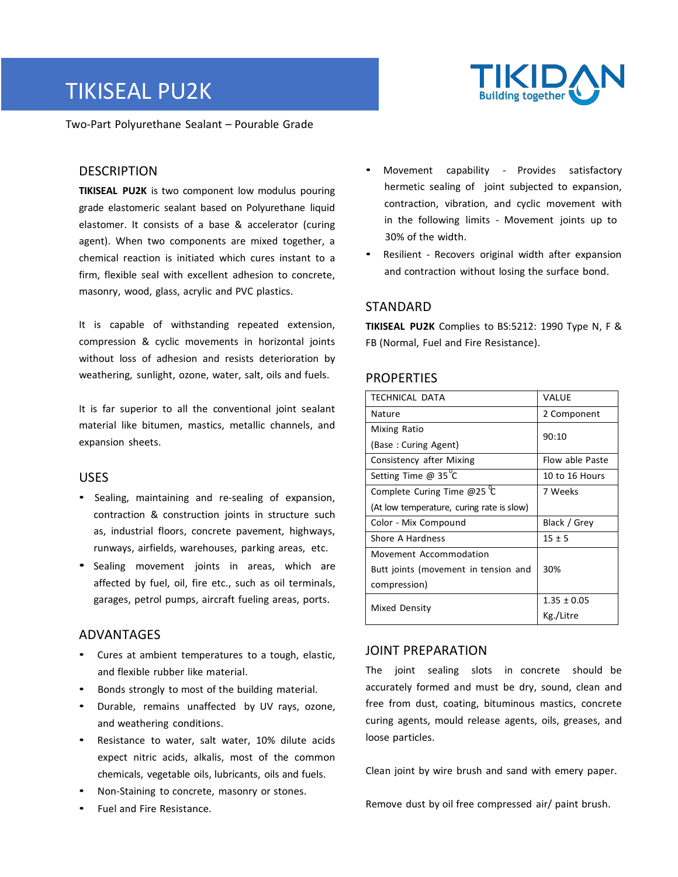# TIKISEAL PU2K



Two-Part Polyurethane Sealant – Pourable Grade

## **DESCRIPTION**

**TIKISEAL PU2K** is two component low modulus pouring grade elastomeric sealant based on Polyurethane liquid elastomer. It consists of a base & accelerator (curing agent). When two components are mixed together, a chemical reaction is initiated which cures instant to a firm, flexible seal with excellent adhesion to concrete, masonry, wood, glass, acrylic and PVC plastics.

It is capable of withstanding repeated extension, compression & cyclic movements in horizontal joints without loss of adhesion and resists deterioration by weathering, sunlight, ozone, water, salt, oils and fuels.

It is far superior to all the conventional joint sealant material like bitumen, mastics, metallic channels, and expansion sheets.

## USES

- Sealing, maintaining and re-sealing of expansion, contraction & construction joints in structure such as, industrial floors, concrete pavement, highways, runways, airfields, warehouses, parking areas, etc.
- Sealing movement joints in areas, which are affected by fuel, oil, fire etc., such as oil terminals, garages, petrol pumps, aircraft fueling areas, ports.

## ADVANTAGES

- Cures at ambient temperatures to a tough, elastic, and flexible rubber like material.
- Bonds strongly to most of the building material.
- Durable, remains unaffected by UV rays, ozone, and weathering conditions.
- Resistance to water, salt water, 10% dilute acids expect nitric acids, alkalis, most of the common chemicals, vegetable oils, lubricants, oils and fuels.
- Non-Staining to concrete, masonry or stones.
- Fuel and Fire Resistance.
- Movement capability Provides satisfactory hermetic sealing of joint subjected to expansion, contraction, vibration, and cyclic movement with in the following limits - Movement joints up to 30% of the width.
- Resilient Recovers original width after expansion and contraction without losing the surface bond.

# STANDARD

**TIKISEAL PU2K** Complies to BS:5212: 1990 Type N, F & FB (Normal, Fuel and Fire Resistance).

## **PROPERTIES**

| <b>TECHNICAL DATA</b>                     | VALUE           |  |
|-------------------------------------------|-----------------|--|
| Nature                                    | 2 Component     |  |
| Mixing Ratio                              | 90:10           |  |
| (Base: Curing Agent)                      |                 |  |
| Consistency after Mixing                  | Flow able Paste |  |
| Setting Time @ $35^{\circ}$ C             | 10 to 16 Hours  |  |
| Complete Curing Time @25 $^{\circ}$ C     | 7 Weeks         |  |
| (At low temperature, curing rate is slow) |                 |  |
| Color - Mix Compound                      | Black / Grey    |  |
| Shore A Hardness                          | $15 \pm 5$      |  |
| Movement Accommodation                    |                 |  |
| Butt joints (movement in tension and      | 30%             |  |
| compression)                              |                 |  |
| Mixed Density                             | $1.35 \pm 0.05$ |  |
|                                           | Kg./Litre       |  |

## JOINT PREPARATION

The joint sealing slots in concrete should be accurately formed and must be dry, sound, clean and free from dust, coating, bituminous mastics, concrete curing agents, mould release agents, oils, greases, and loose particles.

Clean joint by wire brush and sand with emery paper.

Remove dust by oil free compressed air/ paint brush.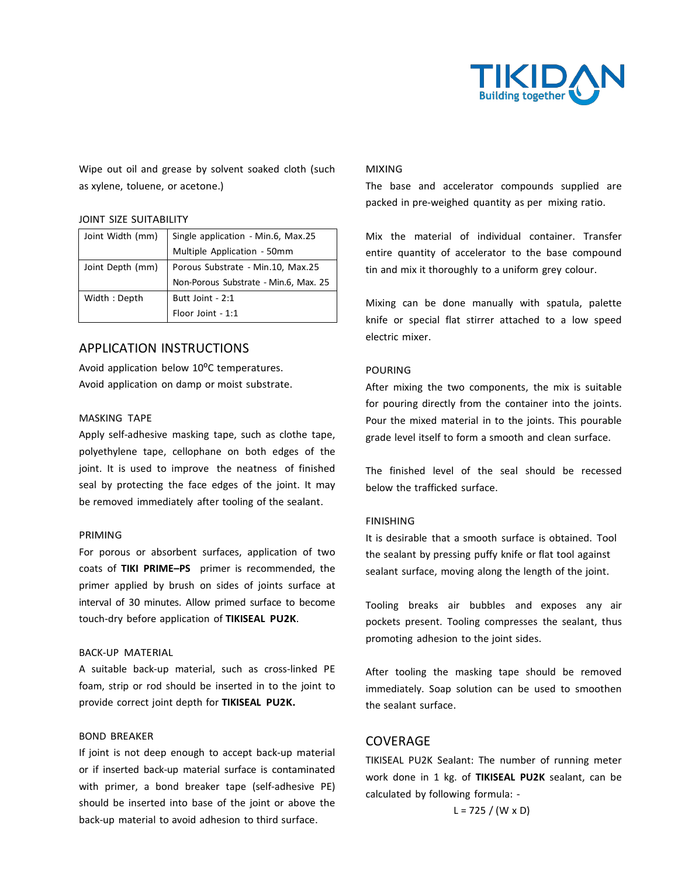

Wipe out oil and grease by solvent soaked cloth (such as xylene, toluene, or acetone.)

#### JOINT SIZE SUITABILITY

| Joint Width (mm) | Single application - Min.6, Max.25    |  |
|------------------|---------------------------------------|--|
|                  | Multiple Application - 50mm           |  |
| Joint Depth (mm) | Porous Substrate - Min.10, Max.25     |  |
|                  | Non-Porous Substrate - Min.6, Max. 25 |  |
| Width: Depth     | Butt Joint - 2:1                      |  |
|                  | Floor Joint - 1:1                     |  |

## APPLICATION INSTRUCTIONS

Avoid application below 10°C temperatures. Avoid application on damp or moist substrate.

#### MASKING TAPE

Apply self-adhesive masking tape, such as clothe tape, polyethylene tape, cellophane on both edges of the joint. It is used to improve the neatness of finished seal by protecting the face edges of the joint. It may be removed immediately after tooling of the sealant.

#### PRIMING

For porous or absorbent surfaces, application of two coats of **TIKI PRIME–PS** primer is recommended, the primer applied by brush on sides of joints surface at interval of 30 minutes. Allow primed surface to become touch-dry before application of **TIKISEAL PU2K**.

#### BACK-UP MATERIAL

A suitable back-up material, such as cross-linked PE foam, strip or rod should be inserted in to the joint to provide correct joint depth for **TIKISEAL PU2K.**

#### BOND BREAKER

If joint is not deep enough to accept back-up material or if inserted back-up material surface is contaminated with primer, a bond breaker tape (self-adhesive PE) should be inserted into base of the joint or above the back-up material to avoid adhesion to third surface.

#### MIXING

The base and accelerator compounds supplied are packed in pre-weighed quantity as per mixing ratio.

Mix the material of individual container. Transfer entire quantity of accelerator to the base compound tin and mix it thoroughly to a uniform grey colour.

Mixing can be done manually with spatula, palette knife or special flat stirrer attached to a low speed electric mixer.

#### POURING

After mixing the two components, the mix is suitable for pouring directly from the container into the joints. Pour the mixed material in to the joints. This pourable grade level itself to form a smooth and clean surface.

The finished level of the seal should be recessed below the trafficked surface.

#### FINISHING

It is desirable that a smooth surface is obtained. Tool the sealant by pressing puffy knife or flat tool against sealant surface, moving along the length of the joint.

Tooling breaks air bubbles and exposes any air pockets present. Tooling compresses the sealant, thus promoting adhesion to the joint sides.

After tooling the masking tape should be removed immediately. Soap solution can be used to smoothen the sealant surface.

## COVERAGE

TIKISEAL PU2K Sealant: The number of running meter work done in 1 kg. of **TIKISEAL PU2K** sealant, can be calculated by following formula: -

 $L = 725 / (W \times D)$